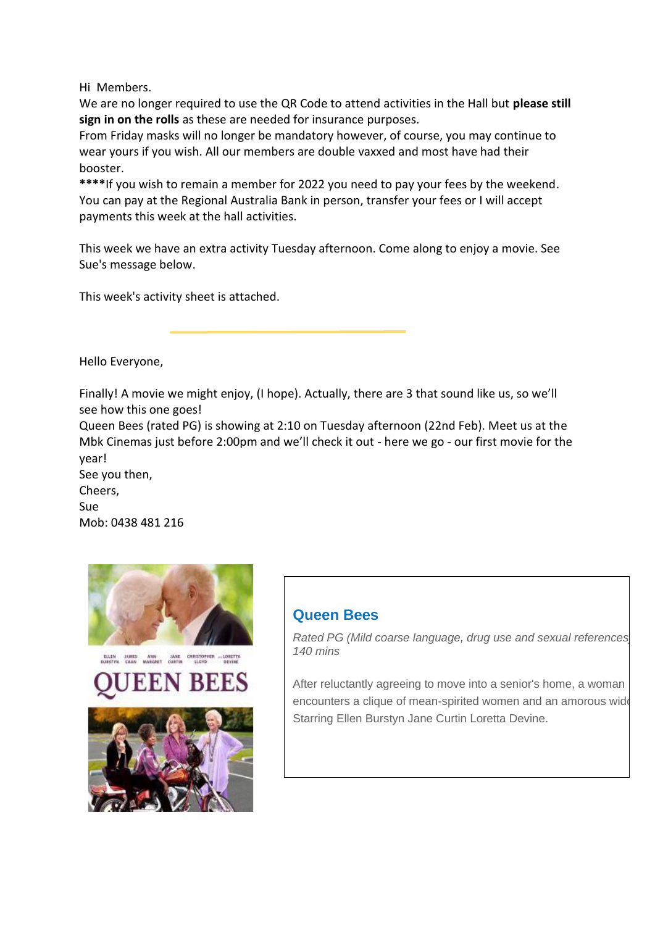Hi Members.

We are no longer required to use the QR Code to attend activities in the Hall but **please still sign in on the rolls** as these are needed for insurance purposes.

From Friday masks will no longer be mandatory however, of course, you may continue to wear yours if you wish. All our members are double vaxxed and most have had their booster.

**\*\*\*\***If you wish to remain a member for 2022 you need to pay your fees by the weekend. You can pay at the Regional Australia Bank in person, transfer your fees or I will accept payments this week at the hall activities.

This week we have an extra activity Tuesday afternoon. Come along to enjoy a movie. See Sue's message below.

This week's activity sheet is attached.

Hello Everyone,

Finally! A movie we might enjoy, (I hope). Actually, there are 3 that sound like us, so we'll see how this one goes!

Queen Bees (rated PG) is showing at 2:10 on Tuesday afternoon (22nd Feb). Meet us at the Mbk Cinemas just before 2:00pm and we'll check it out - here we go - our first movie for the year!

See you then,

Cheers, Sue

[Mob: 0438 481](http://www.muswellbrookcinema.com.au/utilities/t.aspx?el=1511700) 216





## **Queen Bees**

*Rated PG (Mild coarse language, drug use and sexual references), 140 mins*

After reluctantly agreeing to move into a senior's home, a woman encounters a clique of mean-spirited women and an amorous wide Starring Ellen Burstyn Jane Curtin Loretta Devine.